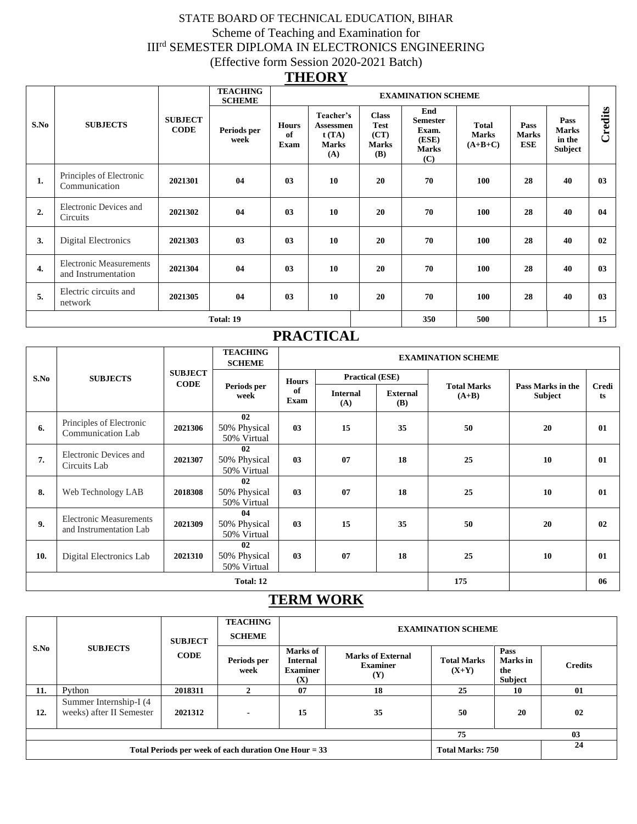### STATE BOARD OF TECHNICAL EDUCATION, BIHAR Scheme of Teaching and Examination for IIIrd SEMESTER DIPLOMA IN ELECTRONICS ENGINEERING (Effective form Session 2020-2021 Batch)

### **THEORY**

|      |                                                       |                               | <b>TEACHING</b><br><b>SCHEME</b> |                            |                                                        |                                                                   | <b>EXAMINATION SCHEME</b>                                       |                                           |                                    |                                           |                |
|------|-------------------------------------------------------|-------------------------------|----------------------------------|----------------------------|--------------------------------------------------------|-------------------------------------------------------------------|-----------------------------------------------------------------|-------------------------------------------|------------------------------------|-------------------------------------------|----------------|
| S.No | <b>SUBJECTS</b>                                       | <b>SUBJECT</b><br><b>CODE</b> | Periods per<br>week              | <b>Hours</b><br>of<br>Exam | Teacher's<br>Assessmen<br>t(TA)<br><b>Marks</b><br>(A) | <b>Class</b><br><b>Test</b><br>(CT)<br><b>Marks</b><br><b>(B)</b> | End<br><b>Semester</b><br>Exam.<br>(ESE)<br><b>Marks</b><br>(C) | <b>Total</b><br><b>Marks</b><br>$(A+B+C)$ | Pass<br><b>Marks</b><br><b>ESE</b> | Pass<br><b>Marks</b><br>in the<br>Subject | Credits        |
| 1.   | Principles of Electronic<br>Communication             | 2021301                       | 04                               | 03                         | 10                                                     | 20                                                                | 70                                                              | 100                                       | 28                                 | 40                                        | 0 <sub>3</sub> |
| 2.   | Electronic Devices and<br>Circuits                    | 2021302                       | 04                               | 03                         | 10                                                     | 20                                                                | 70                                                              | 100                                       | 28                                 | 40                                        | 04             |
| 3.   | Digital Electronics                                   | 2021303                       | 03                               | 03                         | 10                                                     | 20                                                                | 70                                                              | 100                                       | 28                                 | 40                                        | 02             |
| 4.   | <b>Electronic Measurements</b><br>and Instrumentation | 2021304                       | 04                               | 03                         | 10                                                     | 20                                                                | 70                                                              | 100                                       | 28                                 | 40                                        | 0 <sub>3</sub> |
| 5.   | Electric circuits and<br>network                      | 2021305                       | 04                               | 0 <sub>3</sub>             | 10                                                     | 20                                                                | 70                                                              | 100                                       | 28                                 | 40                                        | 0 <sub>3</sub> |
|      | Total: 19                                             |                               |                                  |                            |                                                        |                                                                   |                                                                 | 500                                       |                                    |                                           | 15             |

### **PRACTICAL**

|      |                                                           |                | <b>TEACHING</b><br><b>SCHEME</b>  |                |                        |                               | <b>EXAMINATION SCHEME</b>     |                              |                    |
|------|-----------------------------------------------------------|----------------|-----------------------------------|----------------|------------------------|-------------------------------|-------------------------------|------------------------------|--------------------|
| S.No | <b>SUBJECTS</b>                                           | <b>SUBJECT</b> |                                   | <b>Hours</b>   | <b>Practical (ESE)</b> |                               |                               |                              |                    |
|      |                                                           | <b>CODE</b>    | Periods per<br>week               | of<br>Exam     | <b>Internal</b><br>(A) | <b>External</b><br><b>(B)</b> | <b>Total Marks</b><br>$(A+B)$ | Pass Marks in the<br>Subject | <b>Credi</b><br>ts |
| 6.   | Principles of Electronic<br><b>Communication Lab</b>      | 2021306        | 02<br>50% Physical<br>50% Virtual | 0 <sub>3</sub> | 15                     | 35                            | 50                            | <b>20</b>                    | 01                 |
| 7.   | Electronic Devices and<br>Circuits Lab                    | 2021307        | 02<br>50% Physical<br>50% Virtual | 03             | 07                     | 18                            | 25                            | 10                           | 01                 |
| 8.   | Web Technology LAB                                        | 2018308        | 02<br>50% Physical<br>50% Virtual | 03             | 07                     | 18                            | 25                            | 10                           | 01                 |
| 9.   | <b>Electronic Measurements</b><br>and Instrumentation Lab | 2021309        | 04<br>50% Physical<br>50% Virtual | 03             | 15                     | 35                            | 50                            | 20                           | 02                 |
| 10.  | Digital Electronics Lab                                   | 2021310        | 02<br>50% Physical<br>50% Virtual | 03             | 07                     | 18                            | 25                            | 10                           | 01                 |
|      |                                                           |                | Total: 12                         |                |                        |                               | 175                           |                              | 06                 |

## **TERM WORK**

|                                                                             |                                                    | <b>SUBJECT</b> | <b>TEACHING</b><br><b>SCHEME</b> | <b>EXAMINATION SCHEME</b>                             |                                                    |                               |                                    |                |  |  |
|-----------------------------------------------------------------------------|----------------------------------------------------|----------------|----------------------------------|-------------------------------------------------------|----------------------------------------------------|-------------------------------|------------------------------------|----------------|--|--|
| S.No                                                                        | <b>SUBJECTS</b>                                    | <b>CODE</b>    | Periods per<br>week              | Marks of<br><b>Internal</b><br><b>Examiner</b><br>(X) | <b>Marks of External</b><br><b>Examiner</b><br>(Y) | <b>Total Marks</b><br>$(X+Y)$ | Pass<br>Marks in<br>the<br>Subject | <b>Credits</b> |  |  |
| 11.                                                                         | Python                                             | 2018311        |                                  | 07                                                    | 18                                                 | 25                            | 10                                 | 01             |  |  |
| 12.                                                                         | Summer Internship-I (4<br>weeks) after II Semester | 2021312        | $\overline{\phantom{0}}$         | 15                                                    | 35                                                 | 50                            | 20                                 | 02             |  |  |
| 75                                                                          |                                                    |                |                                  |                                                       |                                                    |                               |                                    | 03             |  |  |
| Total Periods per week of each duration One Hour $= 33$<br>Total Marks: 750 |                                                    |                |                                  |                                                       |                                                    |                               | 24                                 |                |  |  |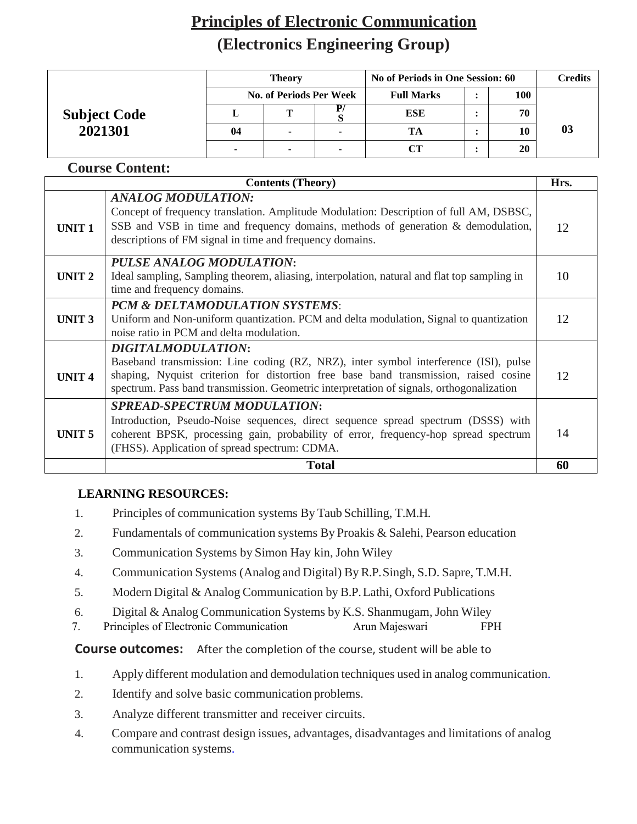## **Principles of Electronic Communication (Electronics Engineering Group)**

|                     | <b>Theory</b> |                                |                | No of Periods in One Session: 60 |  |     | <b>Credits</b> |
|---------------------|---------------|--------------------------------|----------------|----------------------------------|--|-----|----------------|
|                     |               | <b>No. of Periods Per Week</b> |                | <b>Full Marks</b>                |  | 100 |                |
| <b>Subject Code</b> |               |                                |                | <b>ESE</b>                       |  | 70  |                |
| 2021301             | 04            | ۰                              |                |                                  |  | 10  | 03             |
|                     |               | $\overline{\phantom{a}}$       | $\blacksquare$ |                                  |  | 20  |                |

#### **Course Content:**

|                   | <b>Contents (Theory)</b>                                                                                                                                                                                                                                                                              | Hrs. |
|-------------------|-------------------------------------------------------------------------------------------------------------------------------------------------------------------------------------------------------------------------------------------------------------------------------------------------------|------|
| <b>UNIT1</b>      | <b>ANALOG MODULATION:</b><br>Concept of frequency translation. Amplitude Modulation: Description of full AM, DSBSC,<br>SSB and VSB in time and frequency domains, methods of generation & demodulation,<br>descriptions of FM signal in time and frequency domains.                                   | 12   |
| UNIT <sub>2</sub> | <b>PULSE ANALOG MODULATION:</b><br>Ideal sampling, Sampling theorem, aliasing, interpolation, natural and flat top sampling in<br>time and frequency domains.                                                                                                                                         | 10   |
| UNIT <sub>3</sub> | <b>PCM &amp; DELTAMODULATION SYSTEMS:</b><br>Uniform and Non-uniform quantization. PCM and delta modulation, Signal to quantization<br>noise ratio in PCM and delta modulation.                                                                                                                       | 12   |
| <b>UNIT4</b>      | <b>DIGITALMODULATION:</b><br>Baseband transmission: Line coding (RZ, NRZ), inter symbol interference (ISI), pulse<br>shaping, Nyquist criterion for distortion free base band transmission, raised cosine<br>spectrum. Pass band transmission. Geometric interpretation of signals, orthogonalization | 12   |
| UNIT <sub>5</sub> | <b>SPREAD-SPECTRUM MODULATION:</b><br>Introduction, Pseudo-Noise sequences, direct sequence spread spectrum (DSSS) with<br>coherent BPSK, processing gain, probability of error, frequency-hop spread spectrum<br>(FHSS). Application of spread spectrum: CDMA.                                       | 14   |
|                   | <b>Total</b>                                                                                                                                                                                                                                                                                          | 60   |

#### **LEARNING RESOURCES:**

- 1. Principles of communication systems By Taub Schilling, T.M.H.
- 2. Fundamentals of communication systems By Proakis & Salehi, Pearson education
- 3. Communication Systems by Simon Hay kin, John Wiley
- 4. Communication Systems (Analog and Digital) By R.P.Singh, S.D. Sapre, T.M.H.
- 5. Modern Digital & Analog Communication by B.P.Lathi, Oxford Publications
- 6. Digital & Analog Communication Systems by K.S. Shanmugam, John Wiley
- 7. Principles of Electronic Communication Arun Majeswari FPH

- 1. Apply different modulation and demodulation techniques used in analog communication.
- 2. Identify and solve basic communication problems.
- 3. Analyze different transmitter and receiver circuits.
- 4. Compare and contrast design issues, advantages, disadvantages and limitations of analog communication systems.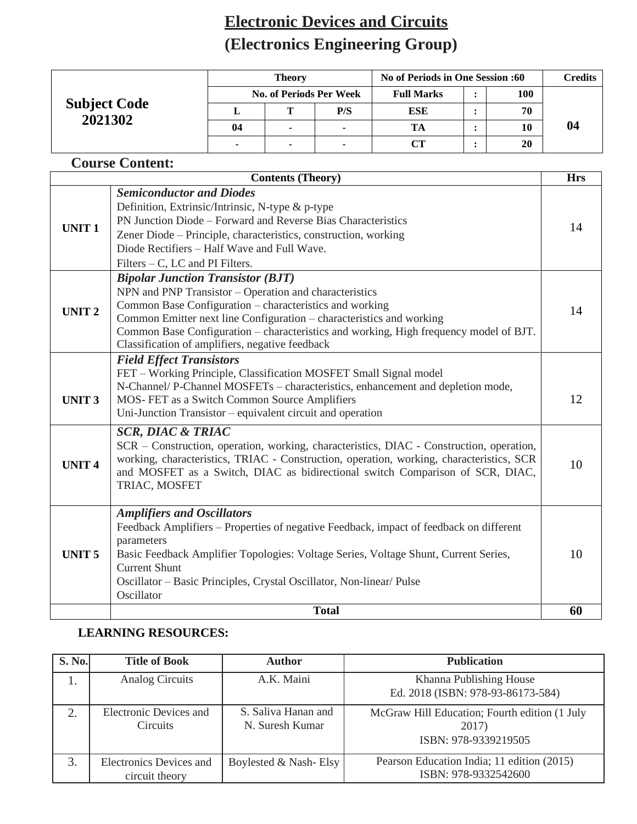## **Electronic Devices and Circuits (Electronics Engineering Group)**

|                                | <b>Theory</b>            |                                |     | No of Periods in One Session :60 |  |     | <b>Credits</b> |
|--------------------------------|--------------------------|--------------------------------|-----|----------------------------------|--|-----|----------------|
|                                |                          | <b>No. of Periods Per Week</b> |     | <b>Full Marks</b>                |  | 100 |                |
| <b>Subject Code</b><br>2021302 |                          | T                              | P/S | ESE                              |  | 70  |                |
|                                | 04                       |                                |     | TА                               |  | 10  | 04             |
|                                | $\overline{\phantom{a}}$ |                                |     |                                  |  | 20  |                |

### **Course Content:**

|                   | <b>Contents (Theory)</b>                                                                                                                                                                                                                                                                                                                                                          | <b>Hrs</b> |
|-------------------|-----------------------------------------------------------------------------------------------------------------------------------------------------------------------------------------------------------------------------------------------------------------------------------------------------------------------------------------------------------------------------------|------------|
| <b>UNIT1</b>      | <b>Semiconductor and Diodes</b><br>Definition, Extrinsic/Intrinsic, N-type & p-type<br>PN Junction Diode - Forward and Reverse Bias Characteristics<br>Zener Diode – Principle, characteristics, construction, working<br>Diode Rectifiers - Half Wave and Full Wave.<br>Filters $-$ C, LC and PI Filters.                                                                        | 14         |
| <b>UNIT2</b>      | <b>Bipolar Junction Transistor (BJT)</b><br>NPN and PNP Transistor – Operation and characteristics<br>Common Base Configuration - characteristics and working<br>Common Emitter next line Configuration – characteristics and working<br>Common Base Configuration – characteristics and working, High frequency model of BJT.<br>Classification of amplifiers, negative feedback | 14         |
|                   | <b>Field Effect Transistors</b>                                                                                                                                                                                                                                                                                                                                                   |            |
| <b>UNIT3</b>      | FET - Working Principle, Classification MOSFET Small Signal model<br>N-Channel/P-Channel MOSFETs – characteristics, enhancement and depletion mode,<br>MOS- FET as a Switch Common Source Amplifiers<br>Uni-Junction Transistor – equivalent circuit and operation                                                                                                                | 12         |
| <b>UNIT4</b>      | <b>SCR, DIAC &amp; TRIAC</b><br>SCR – Construction, operation, working, characteristics, DIAC - Construction, operation,<br>working, characteristics, TRIAC - Construction, operation, working, characteristics, SCR<br>and MOSFET as a Switch, DIAC as bidirectional switch Comparison of SCR, DIAC,<br>TRIAC, MOSFET                                                            | 10         |
| UNIT <sub>5</sub> | <b>Amplifiers and Oscillators</b><br>Feedback Amplifiers – Properties of negative Feedback, impact of feedback on different<br>parameters<br>Basic Feedback Amplifier Topologies: Voltage Series, Voltage Shunt, Current Series,<br><b>Current Shunt</b><br>Oscillator - Basic Principles, Crystal Oscillator, Non-linear/ Pulse<br>Oscillator                                    | 10         |
|                   | <b>Total</b>                                                                                                                                                                                                                                                                                                                                                                      | 60         |

#### **LEARNING RESOURCES:**

| <b>S. No.</b> | <b>Title of Book</b>    | <b>Author</b>         | <b>Publication</b>                            |
|---------------|-------------------------|-----------------------|-----------------------------------------------|
|               | <b>Analog Circuits</b>  | A.K. Maini            | Khanna Publishing House                       |
|               |                         |                       | Ed. 2018 (ISBN: 978-93-86173-584)             |
| 2.            | Electronic Devices and  | S. Saliva Hanan and   | McGraw Hill Education; Fourth edition (1 July |
|               | <b>Circuits</b>         | N. Suresh Kumar       | 2017)                                         |
|               |                         |                       | ISBN: 978-9339219505                          |
|               | Electronics Devices and | Boylested & Nash-Elsy | Pearson Education India; 11 edition (2015)    |
|               | circuit theory          |                       | ISBN: 978-9332542600                          |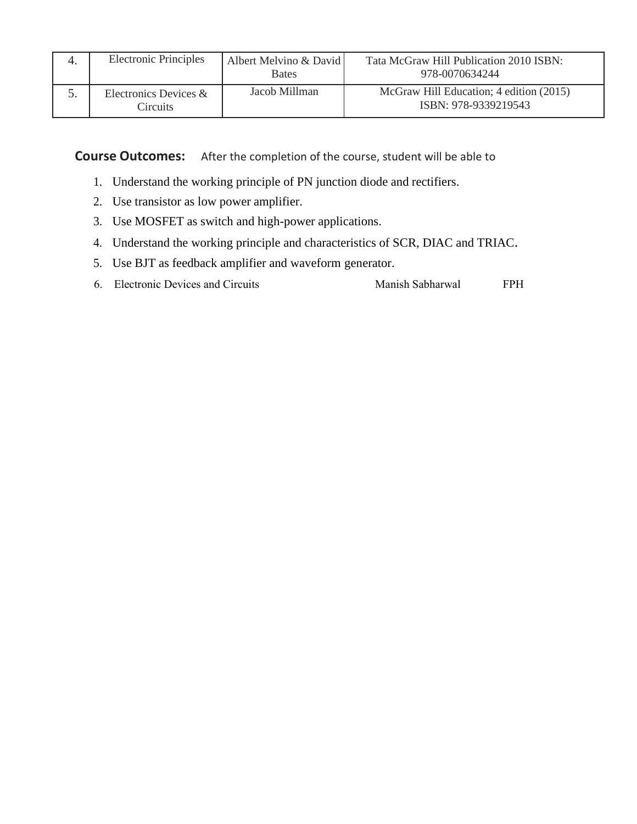|     | <b>Electronic Principles</b>          | Albert Melvino & David<br><b>Bates</b> | Tata McGraw Hill Publication 2010 ISBN:<br>978-0070634244       |
|-----|---------------------------------------|----------------------------------------|-----------------------------------------------------------------|
| J . | Electronics Devices $\&$<br>Circuits: | Jacob Millman                          | McGraw Hill Education; 4 edition (2015)<br>ISBN: 978-9339219543 |

- 1. Understand the working principle of PN junction diode and rectifiers.
- 2. Use transistor as low power amplifier.
- 3. Use MOSFET as switch and high-power applications.
- 4. Understand the working principle and characteristics of SCR, DIAC and TRIAC.
- 5. Use BJT as feedback amplifier and waveform generator.
- 6. Electronic Devices and Circuits Manish Sabharwal FPH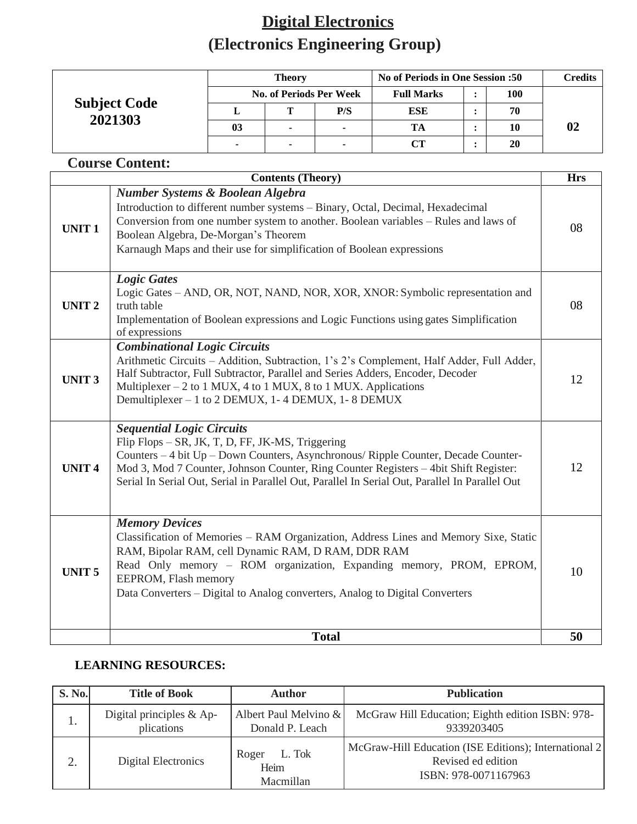## **Digital Electronics (Electronics Engineering Group)**

|                                | <b>Theory</b>            |                                |     | No of Periods in One Session :50 |  |            | Credits |  |  |
|--------------------------------|--------------------------|--------------------------------|-----|----------------------------------|--|------------|---------|--|--|
|                                |                          | <b>No. of Periods Per Week</b> |     | <b>Full Marks</b>                |  | <b>100</b> |         |  |  |
| <b>Subject Code</b><br>2021303 |                          |                                | P/S | ESE                              |  | 70         |         |  |  |
|                                | 03                       |                                |     | TА                               |  |            | 02      |  |  |
|                                | $\overline{\phantom{0}}$ |                                |     |                                  |  | 20         |         |  |  |

### **Course Content:**

|               | <b>Contents (Theory)</b>                                                                                                                                                                                                                                                                                                                                             | <b>Hrs</b> |
|---------------|----------------------------------------------------------------------------------------------------------------------------------------------------------------------------------------------------------------------------------------------------------------------------------------------------------------------------------------------------------------------|------------|
| <b>UNIT1</b>  | <b>Number Systems &amp; Boolean Algebra</b><br>Introduction to different number systems - Binary, Octal, Decimal, Hexadecimal<br>Conversion from one number system to another. Boolean variables - Rules and laws of<br>Boolean Algebra, De-Morgan's Theorem<br>Karnaugh Maps and their use for simplification of Boolean expressions                                | 08         |
| <b>UNIT 2</b> | <b>Logic Gates</b><br>Logic Gates – AND, OR, NOT, NAND, NOR, XOR, XNOR: Symbolic representation and<br>truth table<br>Implementation of Boolean expressions and Logic Functions using gates Simplification<br>of expressions                                                                                                                                         | 08         |
| <b>UNIT3</b>  | <b>Combinational Logic Circuits</b><br>Arithmetic Circuits – Addition, Subtraction, 1's 2's Complement, Half Adder, Full Adder,<br>Half Subtractor, Full Subtractor, Parallel and Series Adders, Encoder, Decoder<br>Multiplexer - 2 to 1 MUX, 4 to 1 MUX, 8 to 1 MUX. Applications<br>Demultiplexer – 1 to 2 DEMUX, 1-4 DEMUX, 1-8 DEMUX                            | 12         |
| <b>UNIT4</b>  | <b>Sequential Logic Circuits</b><br>Flip Flops - SR, JK, T, D, FF, JK-MS, Triggering<br>Counters – 4 bit Up – Down Counters, Asynchronous/ Ripple Counter, Decade Counter-<br>Mod 3, Mod 7 Counter, Johnson Counter, Ring Counter Registers – 4bit Shift Register:<br>Serial In Serial Out, Serial in Parallel Out, Parallel In Serial Out, Parallel In Parallel Out | 12         |
| <b>UNIT5</b>  | <b>Memory Devices</b><br>Classification of Memories – RAM Organization, Address Lines and Memory Sixe, Static<br>RAM, Bipolar RAM, cell Dynamic RAM, D RAM, DDR RAM<br>Read Only memory – ROM organization, Expanding memory, PROM, EPROM,<br>EEPROM, Flash memory<br>Data Converters - Digital to Analog converters, Analog to Digital Converters                   | 10         |
|               | <b>Total</b>                                                                                                                                                                                                                                                                                                                                                         | 50         |

### **LEARNING RESOURCES:**

| S. No.         | <b>Title of Book</b>                     | <b>Author</b>                            | <b>Publication</b>                                                                                  |
|----------------|------------------------------------------|------------------------------------------|-----------------------------------------------------------------------------------------------------|
|                | Digital principles $&$ Ap-<br>plications | Albert Paul Melvino &<br>Donald P. Leach | McGraw Hill Education; Eighth edition ISBN: 978-<br>9339203405                                      |
| $\gamma$<br>۷. | Digital Electronics                      | L. Tok<br>Roger<br>Heim<br>Macmillan     | McGraw-Hill Education (ISE Editions); International 2<br>Revised ed edition<br>ISBN: 978-0071167963 |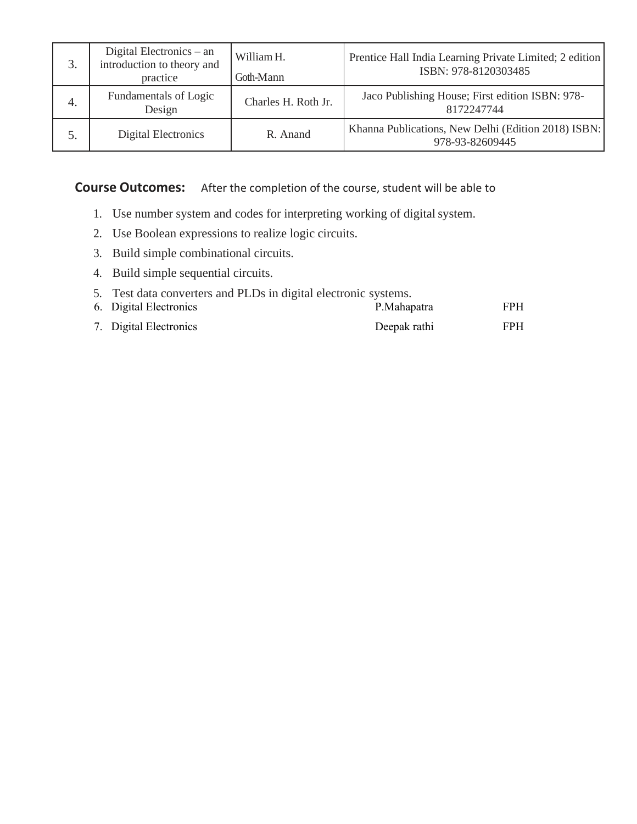| 3. | Digital Electronics – an<br>introduction to theory and<br>practice | William H.<br>Goth-Mann | Prentice Hall India Learning Private Limited; 2 edition<br>ISBN: 978-8120303485 |
|----|--------------------------------------------------------------------|-------------------------|---------------------------------------------------------------------------------|
| 4. | Fundamentals of Logic<br>Design                                    | Charles H. Roth Jr.     | Jaco Publishing House; First edition ISBN: 978-<br>8172247744                   |
| 5. | Digital Electronics                                                | R. Anand                | Khanna Publications, New Delhi (Edition 2018) ISBN:<br>978-93-82609445          |

- 1. Use number system and codes for interpreting working of digital system.
- 2. Use Boolean expressions to realize logic circuits.
- 3. Build simple combinational circuits.
- 4. Build simple sequential circuits.
- 5. Test data converters and PLDs in digital electronic systems.
- 6. Digital Electronics P.Mahapatra FPH 7. Digital Electronics Deepak rathi FPH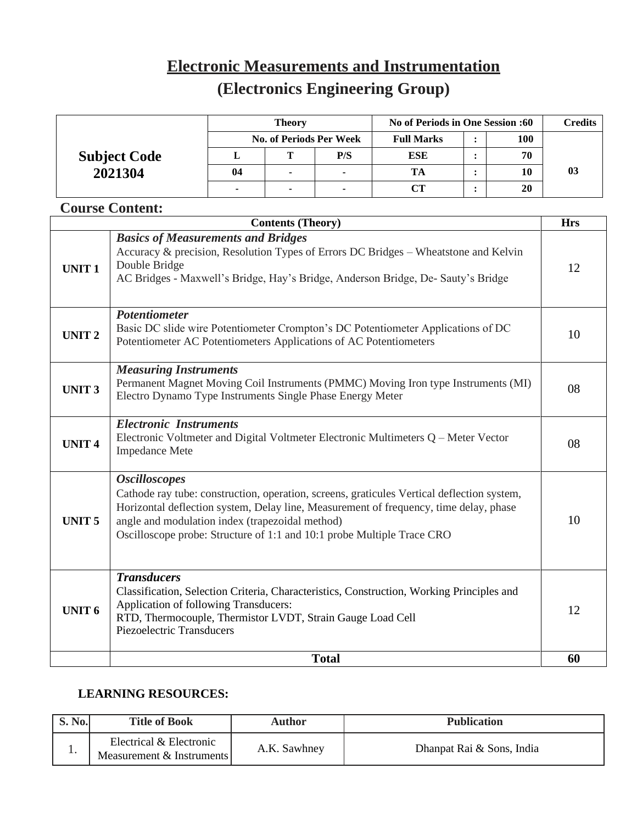# **Electronic Measurements and Instrumentation**

## **(Electronics Engineering Group)**

|                     |                                | <b>Theory</b> |     | No of Periods in One Session :60 | <b>Credits</b> |    |
|---------------------|--------------------------------|---------------|-----|----------------------------------|----------------|----|
|                     | <b>No. of Periods Per Week</b> |               |     | <b>Full Marks</b>                | 100            |    |
| <b>Subject Code</b> |                                | m             | P/S | <b>ESE</b>                       | 70             |    |
| 2021304             | 04                             |               |     |                                  | 10             | 03 |
|                     | $\overline{\phantom{0}}$       |               |     |                                  | 20             |    |

### **Course Content:**

|               | <b>Contents (Theory)</b>                                                                                                                                                                                                                                                                                                                 | <b>Hrs</b> |
|---------------|------------------------------------------------------------------------------------------------------------------------------------------------------------------------------------------------------------------------------------------------------------------------------------------------------------------------------------------|------------|
| <b>UNIT1</b>  | <b>Basics of Measurements and Bridges</b><br>Accuracy & precision, Resolution Types of Errors DC Bridges - Wheatstone and Kelvin<br>Double Bridge<br>AC Bridges - Maxwell's Bridge, Hay's Bridge, Anderson Bridge, De- Sauty's Bridge                                                                                                    | 12         |
| <b>UNIT2</b>  | <b>Potentiometer</b><br>Basic DC slide wire Potentiometer Crompton's DC Potentiometer Applications of DC<br>Potentiometer AC Potentiometers Applications of AC Potentiometers                                                                                                                                                            | 10         |
| <b>UNIT3</b>  | <b>Measuring Instruments</b><br>Permanent Magnet Moving Coil Instruments (PMMC) Moving Iron type Instruments (MI)<br>Electro Dynamo Type Instruments Single Phase Energy Meter                                                                                                                                                           | 08         |
| <b>UNIT4</b>  | <b>Electronic Instruments</b><br>Electronic Voltmeter and Digital Voltmeter Electronic Multimeters Q – Meter Vector<br><b>Impedance Mete</b>                                                                                                                                                                                             | 08         |
| <b>UNIT5</b>  | <b>Oscilloscopes</b><br>Cathode ray tube: construction, operation, screens, graticules Vertical deflection system,<br>Horizontal deflection system, Delay line, Measurement of frequency, time delay, phase<br>angle and modulation index (trapezoidal method)<br>Oscilloscope probe: Structure of 1:1 and 10:1 probe Multiple Trace CRO | 10         |
| <b>UNIT 6</b> | <b>Transducers</b><br>Classification, Selection Criteria, Characteristics, Construction, Working Principles and<br>Application of following Transducers:<br>RTD, Thermocouple, Thermistor LVDT, Strain Gauge Load Cell<br>Piezoelectric Transducers                                                                                      | 12         |
|               | <b>Total</b>                                                                                                                                                                                                                                                                                                                             | 60         |

### **LEARNING RESOURCES:**

| <b>S. No.</b> | <b>Title of Book</b>                                 | Author       | <b>Publication</b>        |
|---------------|------------------------------------------------------|--------------|---------------------------|
| . .           | Electrical & Electronic<br>Measurement & Instruments | A.K. Sawhney | Dhanpat Rai & Sons, India |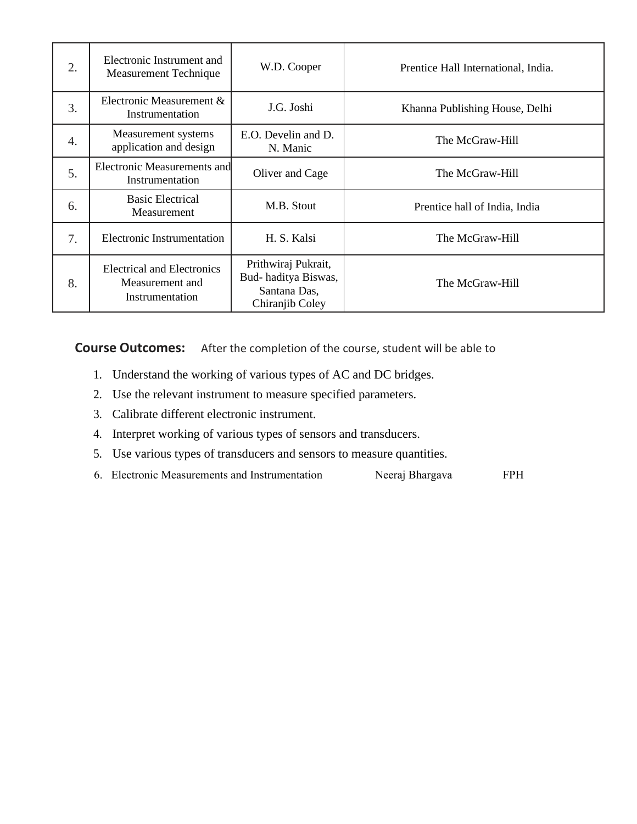| 2. | Electronic Instrument and<br><b>Measurement Technique</b>               | W.D. Cooper                                                                   | Prentice Hall International, India. |
|----|-------------------------------------------------------------------------|-------------------------------------------------------------------------------|-------------------------------------|
| 3. | Electronic Measurement &<br>Instrumentation                             | J.G. Joshi                                                                    | Khanna Publishing House, Delhi      |
| 4. | Measurement systems<br>application and design                           | E.O. Develin and D.<br>N. Manic                                               | The McGraw-Hill                     |
| 5. | <b>Electronic Measurements and</b><br>Instrumentation                   | Oliver and Cage                                                               | The McGraw-Hill                     |
| 6. | <b>Basic Electrical</b><br>Measurement                                  | M.B. Stout                                                                    | Prentice hall of India, India       |
| 7. | Electronic Instrumentation                                              | H. S. Kalsi                                                                   | The McGraw-Hill                     |
| 8. | <b>Electrical and Electronics</b><br>Measurement and<br>Instrumentation | Prithwiraj Pukrait,<br>Bud-haditya Biswas,<br>Santana Das,<br>Chiranjib Coley | The McGraw-Hill                     |

- 1. Understand the working of various types of AC and DC bridges.
- 2. Use the relevant instrument to measure specified parameters.
- 3. Calibrate different electronic instrument.
- 4. Interpret working of various types of sensors and transducers.
- 5. Use various types of transducers and sensors to measure quantities.
- 6. Electronic Measurements and Instrumentation Neeraj Bhargava FPH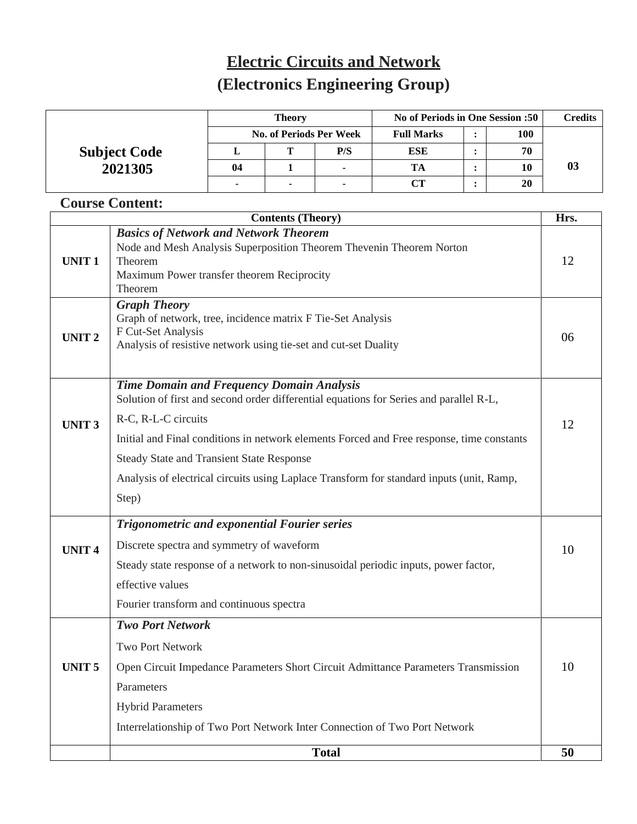## **Electric Circuits and Network (Electronics Engineering Group)**

|                     | <b>Theory</b>                  |                          |     | No of Periods in One Session :50 | <b>Credits</b> |    |
|---------------------|--------------------------------|--------------------------|-----|----------------------------------|----------------|----|
|                     | <b>No. of Periods Per Week</b> |                          |     | <b>Full Marks</b>                | 100            |    |
| <b>Subject Code</b> |                                |                          | P/S | <b>ESE</b>                       | 70             |    |
| 2021305             | 04                             |                          |     | TA                               | 10             | 03 |
|                     |                                | $\overline{\phantom{a}}$ |     | CТ                               | 20             |    |

#### **Course Content: Contents (Theory) Hrs. UNIT 1** *Basics of Network and Network Theorem* Node and Mesh Analysis Superposition Theorem Thevenin Theorem Norton Theorem Maximum Power transfer theorem Reciprocity Theorem 12 **UNIT 2** *Graph Theory* Graph of network, tree, incidence matrix F Tie-Set Analysis F Cut-Set Analysis Analysis of resistive network using tie-set and cut-set Duality <sup>06</sup> **UNIT 3** *Time Domain and Frequency Domain Analysis* Solution of first and second order differential equations for Series and parallel R-L, R-C, R-L-C circuits Initial and Final conditions in network elements Forced and Free response, time constants Steady State and Transient State Response Analysis of electrical circuits using Laplace Transform for standard inputs (unit, Ramp, Step) 12 **UNIT 4** *Trigonometric and exponential Fourier series* Discrete spectra and symmetry of waveform Steady state response of a network to non-sinusoidal periodic inputs, power factor, effective values Fourier transform and continuous spectra 10 **UNIT 5** *Two Port Network* Two Port Network Open Circuit Impedance Parameters Short Circuit Admittance Parameters Transmission **Parameters** Hybrid Parameters 10

Interrelationship of Two Port Network Inter Connection of Two Port Network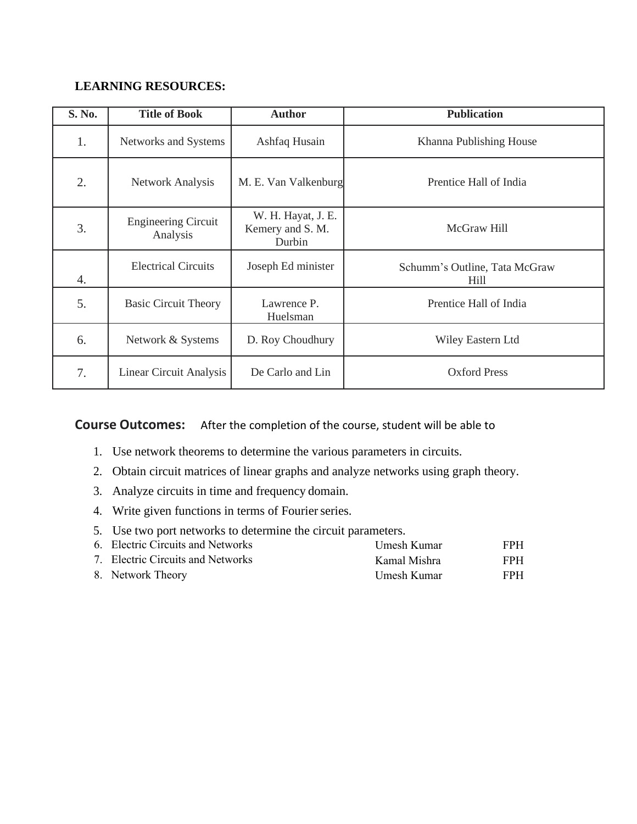#### **LEARNING RESOURCES:**

| <b>S. No.</b> | <b>Title of Book</b>                   | <b>Author</b>                                    | <b>Publication</b>                    |
|---------------|----------------------------------------|--------------------------------------------------|---------------------------------------|
| 1.            | Networks and Systems                   | Ashfaq Husain                                    | Khanna Publishing House               |
| 2.            | <b>Network Analysis</b>                | M. E. Van Valkenburg                             | Prentice Hall of India                |
| 3.            | <b>Engineering Circuit</b><br>Analysis | W. H. Hayat, J. E.<br>Kemery and S. M.<br>Durbin | McGraw Hill                           |
| 4.            | <b>Electrical Circuits</b>             | Joseph Ed minister                               | Schumm's Outline, Tata McGraw<br>Hill |
| 5.            | <b>Basic Circuit Theory</b>            | Lawrence P.<br>Huelsman                          | Prentice Hall of India                |
| 6.            | Network & Systems                      | D. Roy Choudhury                                 | Wiley Eastern Ltd                     |
| 7.            | Linear Circuit Analysis                | De Carlo and Lin                                 | <b>Oxford Press</b>                   |

- 1. Use network theorems to determine the various parameters in circuits.
- 2. Obtain circuit matrices of linear graphs and analyze networks using graph theory.
- 3. Analyze circuits in time and frequency domain.
- 4. Write given functions in terms of Fourier series.
- 5. Use two port networks to determine the circuit parameters.

| 6. Electric Circuits and Networks | Umesh Kumar  | FPH. |
|-----------------------------------|--------------|------|
| 7. Electric Circuits and Networks | Kamal Mishra | FPH. |
| 8. Network Theory                 | Umesh Kumar  | FPH. |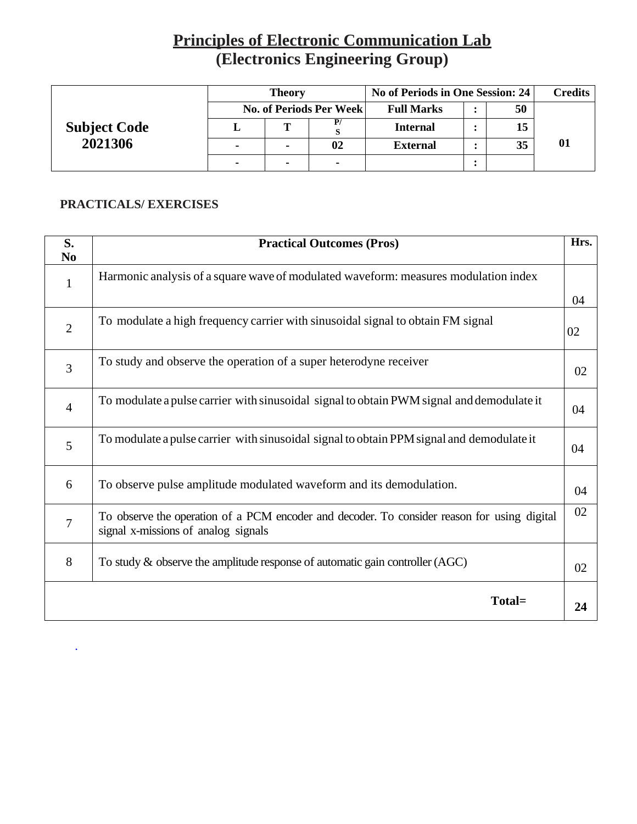## **Principles of Electronic Communication Lab (Electronics Engineering Group)**

|                     |   | <b>Theory</b> |                         | No of Periods in One Session: 24 |  |    | <b>Credits</b>   |
|---------------------|---|---------------|-------------------------|----------------------------------|--|----|------------------|
|                     |   |               | No. of Periods Per Week | <b>Full Marks</b>                |  | 50 |                  |
| <b>Subject Code</b> |   |               |                         | <b>Internal</b>                  |  | 15 |                  |
| 2021306             |   |               | 02                      | <b>External</b>                  |  | 35 | $\boldsymbol{0}$ |
|                     | - |               |                         |                                  |  |    |                  |

### **PRACTICALS/ EXERCISES**

.

| S.<br>N <sub>0</sub> | <b>Practical Outcomes (Pros)</b>                                                                                                   | Hrs. |
|----------------------|------------------------------------------------------------------------------------------------------------------------------------|------|
| $\mathbf{1}$         | Harmonic analysis of a square wave of modulated waveform: measures modulation index                                                |      |
|                      |                                                                                                                                    | 04   |
| $\overline{2}$       | To modulate a high frequency carrier with sinusoidal signal to obtain FM signal                                                    | 02   |
| 3                    | To study and observe the operation of a super heterodyne receiver                                                                  | 02   |
| $\overline{4}$       | To modulate a pulse carrier with sinusoidal signal to obtain PWM signal and demodulate it                                          | 04   |
| 5                    | To modulate a pulse carrier with sinusoidal signal to obtain PPM signal and demodulate it                                          | 04   |
| 6                    | To observe pulse amplitude modulated waveform and its demodulation.                                                                | 04   |
| 7                    | To observe the operation of a PCM encoder and decoder. To consider reason for using digital<br>signal x-missions of analog signals | 02   |
| 8                    | To study $\&$ observe the amplitude response of automatic gain controller (AGC)                                                    | 02   |
|                      | Total=                                                                                                                             | 24   |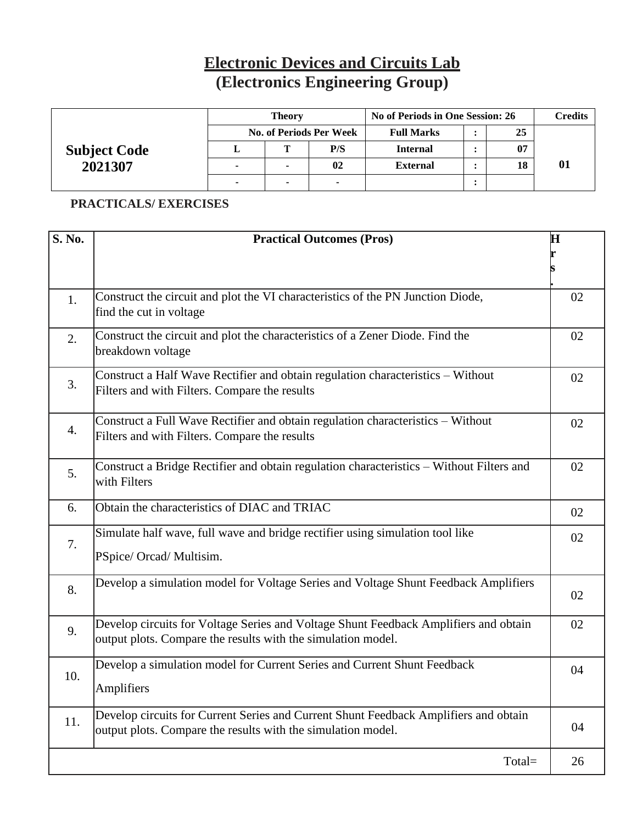### **Electronic Devices and Circuits Lab (Electronics Engineering Group)**

|                     | <b>Theory</b>                  |                |     | No of Periods in One Session: 26 |  |    | Credits          |
|---------------------|--------------------------------|----------------|-----|----------------------------------|--|----|------------------|
|                     | <b>No. of Periods Per Week</b> |                |     | <b>Full Marks</b>                |  | 25 |                  |
| <b>Subject Code</b> |                                | m              | P/S | <b>Internal</b>                  |  | 07 |                  |
| 2021307             |                                | $\blacksquare$ | 02  | <b>External</b>                  |  | 18 | $\boldsymbol{0}$ |
|                     | ۰                              |                |     |                                  |  |    |                  |

### **PRACTICALS/ EXERCISES**

| S. No. | <b>Practical Outcomes (Pros)</b>                                                                                                                     | $\bf H$ |
|--------|------------------------------------------------------------------------------------------------------------------------------------------------------|---------|
|        |                                                                                                                                                      |         |
|        |                                                                                                                                                      |         |
| 1.     | Construct the circuit and plot the VI characteristics of the PN Junction Diode,<br>find the cut in voltage                                           | 02      |
| 2.     | Construct the circuit and plot the characteristics of a Zener Diode. Find the<br>breakdown voltage                                                   | 02      |
| 3.     | Construct a Half Wave Rectifier and obtain regulation characteristics - Without<br>Filters and with Filters. Compare the results                     | 02      |
| 4.     | Construct a Full Wave Rectifier and obtain regulation characteristics - Without<br>Filters and with Filters. Compare the results                     | 02      |
| 5.     | Construct a Bridge Rectifier and obtain regulation characteristics - Without Filters and<br>with Filters                                             | 02      |
| 6.     | Obtain the characteristics of DIAC and TRIAC                                                                                                         | 02      |
| 7.     | Simulate half wave, full wave and bridge rectifier using simulation tool like<br>PSpice/ Orcad/ Multisim.                                            | 02      |
| 8.     | Develop a simulation model for Voltage Series and Voltage Shunt Feedback Amplifiers                                                                  | 02      |
| 9.     | Develop circuits for Voltage Series and Voltage Shunt Feedback Amplifiers and obtain<br>output plots. Compare the results with the simulation model. | 02      |
| 10.    | Develop a simulation model for Current Series and Current Shunt Feedback<br>Amplifiers                                                               | 04      |
| 11.    | Develop circuits for Current Series and Current Shunt Feedback Amplifiers and obtain<br>output plots. Compare the results with the simulation model. | 04      |
|        | Total=                                                                                                                                               | 26      |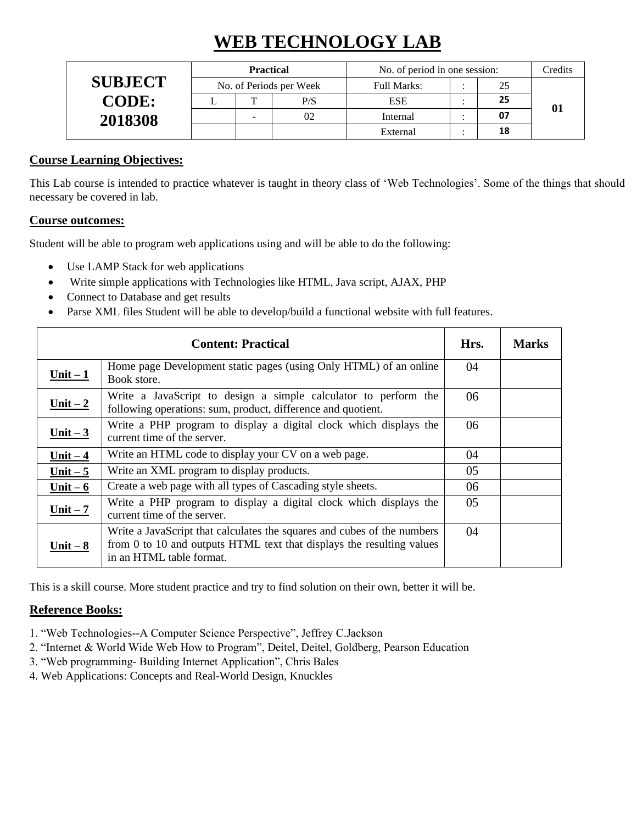## **WEB TECHNOLOGY LAB**

|                |                         | <b>Practical</b> |                    | No. of period in one session: | Credits |  |
|----------------|-------------------------|------------------|--------------------|-------------------------------|---------|--|
| <b>SUBJECT</b> | No. of Periods per Week |                  | <b>Full Marks:</b> | 25                            |         |  |
| <b>CODE:</b>   |                         | $\mathbf{r}$     | P/S                | <b>ESE</b>                    | 25      |  |
| 2018308        |                         |                  | 02                 | Internal                      | 07      |  |
|                |                         |                  |                    | External                      | 18      |  |

#### **Course Learning Objectives:**

This Lab course is intended to practice whatever is taught in theory class of 'Web Technologies'. Some of the things that should necessary be covered in lab.

#### **Course outcomes:**

Student will be able to program web applications using and will be able to do the following:

- Use LAMP Stack for web applications
- Write simple applications with Technologies like HTML, Java script, AJAX, PHP
- Connect to Database and get results
- Parse XML files Student will be able to develop/build a functional website with full features.

|           | <b>Content: Practical</b>                                                                                                                                                    |     |  |  |  |
|-----------|------------------------------------------------------------------------------------------------------------------------------------------------------------------------------|-----|--|--|--|
| Unit $-1$ | Home page Development static pages (using Only HTML) of an online<br>Book store.                                                                                             | 04  |  |  |  |
| Unit $-2$ | Write a JavaScript to design a simple calculator to perform the<br>following operations: sum, product, difference and quotient.                                              | 06  |  |  |  |
| Unit $-3$ | Write a PHP program to display a digital clock which displays the<br>current time of the server.                                                                             | 06  |  |  |  |
| Unit $-4$ | Write an HTML code to display your CV on a web page.                                                                                                                         | 04  |  |  |  |
| Unit $-5$ | Write an XML program to display products.                                                                                                                                    | 05  |  |  |  |
| Unit $-6$ | Create a web page with all types of Cascading style sheets.                                                                                                                  | 06  |  |  |  |
| Unit $-7$ | Write a PHP program to display a digital clock which displays the<br>current time of the server.                                                                             | 0.5 |  |  |  |
| Unit $-8$ | Write a JavaScript that calculates the squares and cubes of the numbers<br>from 0 to 10 and outputs HTML text that displays the resulting values<br>in an HTML table format. | 04  |  |  |  |

This is a skill course. More student practice and try to find solution on their own, better it will be.

#### **Reference Books:**

- 1. "Web Technologies--A Computer Science Perspective", Jeffrey C.Jackson
- 2. "Internet & World Wide Web How to Program", Deitel, Deitel, Goldberg, Pearson Education
- 3. "Web programming- Building Internet Application", Chris Bales
- 4. Web Applications: Concepts and Real-World Design, Knuckles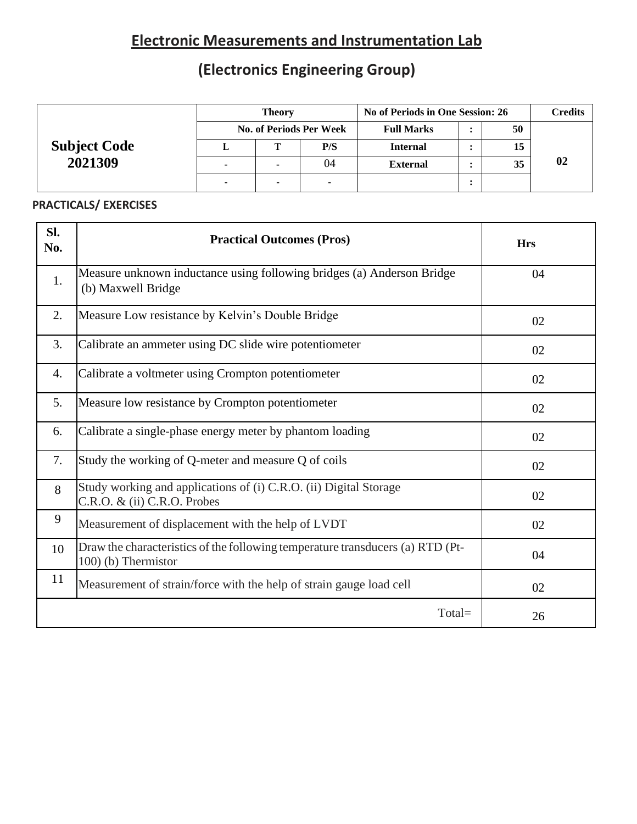## **Electronic Measurements and Instrumentation Lab**

## **(Electronics Engineering Group)**

|                     | <b>Theory</b>            | No of Periods in One Session: 26 | <b>Credits</b>    |    |    |
|---------------------|--------------------------|----------------------------------|-------------------|----|----|
| <b>Subject Code</b> |                          | <b>No. of Periods Per Week</b>   | <b>Full Marks</b> | 50 |    |
|                     | <br>m                    | P/S                              | <b>Internal</b>   | 15 |    |
| 2021309             | $\overline{\phantom{a}}$ | 04                               | <b>External</b>   | 35 | 02 |
|                     | ۰                        |                                  |                   |    |    |

#### **PRACTICALS/ EXERCISES**

| SI.<br>No. | <b>Practical Outcomes (Pros)</b>                                                                      | <b>Hrs</b> |
|------------|-------------------------------------------------------------------------------------------------------|------------|
| 1.         | Measure unknown inductance using following bridges (a) Anderson Bridge<br>(b) Maxwell Bridge          | 04         |
| 2.         | Measure Low resistance by Kelvin's Double Bridge                                                      | 02         |
| 3.         | Calibrate an ammeter using DC slide wire potentiometer                                                | 02         |
| 4.         | Calibrate a voltmeter using Crompton potentiometer                                                    | 02         |
| 5.         | Measure low resistance by Crompton potentiometer                                                      | 02         |
| 6.         | Calibrate a single-phase energy meter by phantom loading                                              | 02         |
| 7.         | Study the working of Q-meter and measure Q of coils                                                   | 02         |
| 8          | Study working and applications of (i) C.R.O. (ii) Digital Storage<br>C.R.O. & (ii) C.R.O. Probes      | 02         |
| 9          | Measurement of displacement with the help of LVDT                                                     | 02         |
| 10         | Draw the characteristics of the following temperature transducers (a) RTD (Pt-<br>100) (b) Thermistor | 04         |
| 11         | Measurement of strain/force with the help of strain gauge load cell                                   | 02         |
|            | Total=                                                                                                | 26         |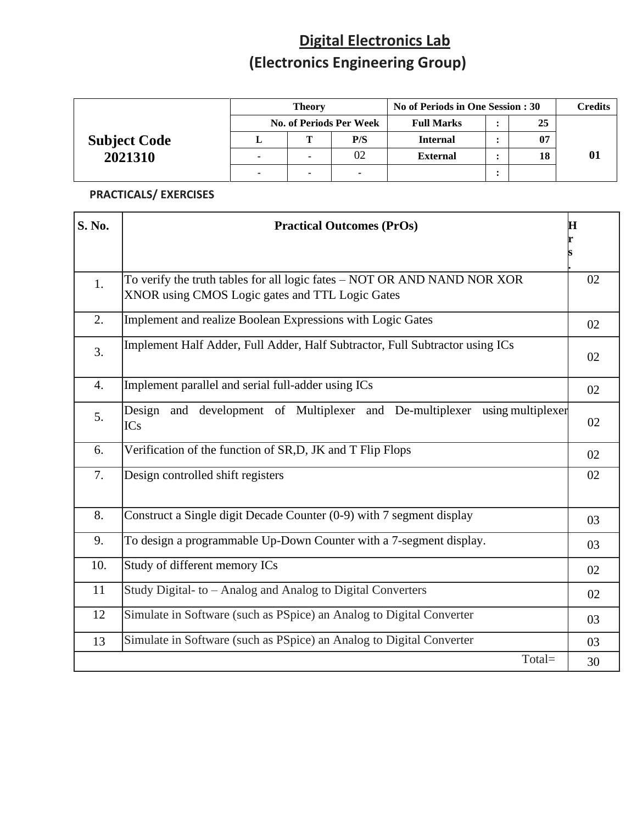## **Digital Electronics Lab (Electronics Engineering Group)**

|                     | <b>Theory</b> |  |                                | No of Periods in One Session : 30 | <b>Credits</b> |    |
|---------------------|---------------|--|--------------------------------|-----------------------------------|----------------|----|
|                     |               |  | <b>No. of Periods Per Week</b> | <b>Full Marks</b>                 | 25             |    |
| <b>Subject Code</b> |               |  | P/S                            | <b>Internal</b>                   | 07             |    |
| 2021310             |               |  | 02                             | <b>External</b>                   | 18             | 01 |
|                     |               |  |                                |                                   |                |    |

### **PRACTICALS/ EXERCISES**

| S. No. | <b>Practical Outcomes (PrOs)</b>                                                                                            |    |
|--------|-----------------------------------------------------------------------------------------------------------------------------|----|
| 1.     | To verify the truth tables for all logic fates - NOT OR AND NAND NOR XOR<br>XNOR using CMOS Logic gates and TTL Logic Gates | 02 |
| 2.     | Implement and realize Boolean Expressions with Logic Gates                                                                  | 02 |
| 3.     | Implement Half Adder, Full Adder, Half Subtractor, Full Subtractor using ICs                                                | 02 |
| 4.     | Implement parallel and serial full-adder using ICs                                                                          | 02 |
| 5.     | Design and development of Multiplexer and De-multiplexer<br>using multiplexer<br><b>ICs</b>                                 | 02 |
| 6.     | Verification of the function of SR,D, JK and T Flip Flops                                                                   | 02 |
| 7.     | Design controlled shift registers                                                                                           | 02 |
| 8.     | Construct a Single digit Decade Counter (0-9) with 7 segment display                                                        | 03 |
| 9.     | To design a programmable Up-Down Counter with a 7-segment display.                                                          | 03 |
| 10.    | Study of different memory ICs                                                                                               | 02 |
| 11     | Study Digital- to – Analog and Analog to Digital Converters                                                                 | 02 |
| 12     | Simulate in Software (such as PSpice) an Analog to Digital Converter                                                        | 03 |
| 13     | Simulate in Software (such as PSpice) an Analog to Digital Converter                                                        | 03 |
|        | Total=                                                                                                                      | 30 |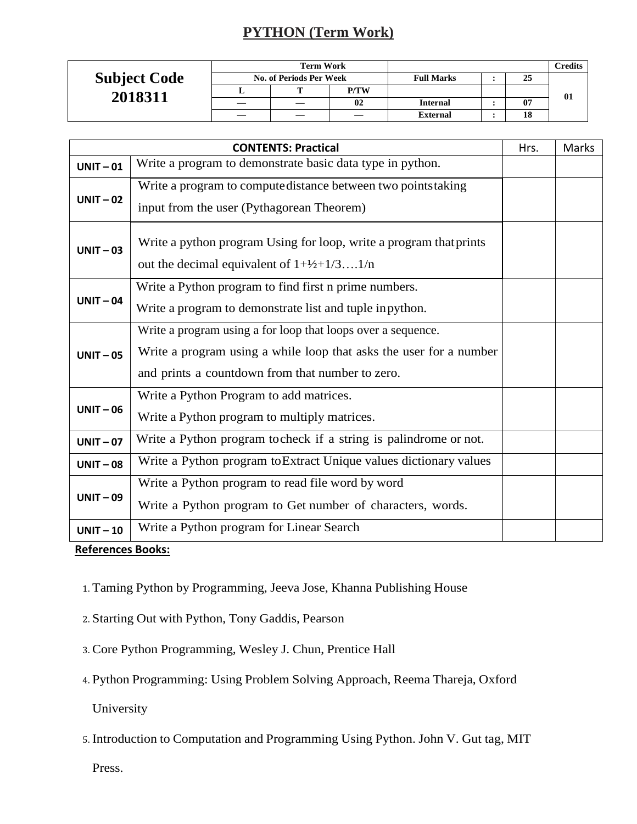### **PYTHON (Term Work)**

|                     |                         | <b>Term Work</b> |             |                   | Credits |    |
|---------------------|-------------------------|------------------|-------------|-------------------|---------|----|
| <b>Subject Code</b> | No. of Periods Per Week |                  |             | <b>Full Marks</b> | 25      |    |
| 2018311             |                         |                  | <b>P/TW</b> |                   |         | 01 |
|                     |                         |                  | 02          | <b>Internal</b>   | 07      |    |
|                     |                         |                  |             | <b>External</b>   | 18      |    |

|             | <b>CONTENTS: Practical</b>                                                                                                                                                             | Hrs. | Marks |
|-------------|----------------------------------------------------------------------------------------------------------------------------------------------------------------------------------------|------|-------|
| $UNIT - 01$ | Write a program to demonstrate basic data type in python.                                                                                                                              |      |       |
| $UNIT - 02$ | Write a program to compute distance between two points taking<br>input from the user (Pythagorean Theorem)                                                                             |      |       |
| $UNIT - 03$ | Write a python program Using for loop, write a program that prints<br>out the decimal equivalent of $1+\frac{1}{2}+\frac{1}{3}1/n$                                                     |      |       |
| $UNIT - 04$ | Write a Python program to find first n prime numbers.<br>Write a program to demonstrate list and tuple in python.                                                                      |      |       |
| $UNIT - 05$ | Write a program using a for loop that loops over a sequence.<br>Write a program using a while loop that asks the user for a number<br>and prints a countdown from that number to zero. |      |       |
| $UNIT - 06$ | Write a Python Program to add matrices.<br>Write a Python program to multiply matrices.                                                                                                |      |       |
| $UNIT - 07$ | Write a Python program tocheck if a string is palindrome or not.                                                                                                                       |      |       |
| $UNIT - 08$ | Write a Python program to Extract Unique values dictionary values                                                                                                                      |      |       |
| $UNIT - 09$ | Write a Python program to read file word by word<br>Write a Python program to Get number of characters, words.                                                                         |      |       |
| $UNIT - 10$ | Write a Python program for Linear Search                                                                                                                                               |      |       |

**References Books:**

- 1. Taming Python by Programming, Jeeva Jose, Khanna Publishing House
- 2. Starting Out with Python, Tony Gaddis, Pearson
- 3. Core Python Programming, Wesley J. Chun, Prentice Hall
- 4. Python Programming: Using Problem Solving Approach, Reema Thareja, Oxford

University

5. Introduction to Computation and Programming Using Python. John V. Gut tag, MIT

Press.